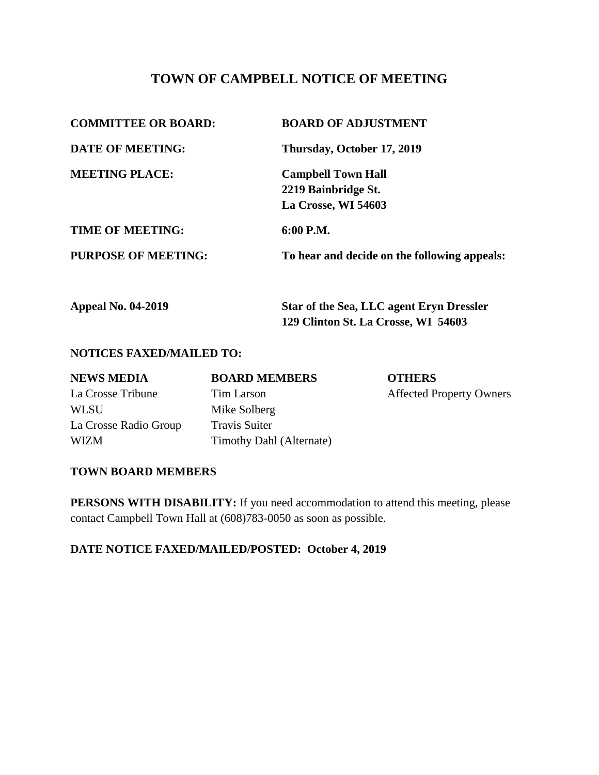# **TOWN OF CAMPBELL NOTICE OF MEETING**

| <b>COMMITTEE OR BOARD:</b> | <b>BOARD OF ADJUSTMENT</b>                   |  |
|----------------------------|----------------------------------------------|--|
| <b>DATE OF MEETING:</b>    | Thursday, October 17, 2019                   |  |
| <b>MEETING PLACE:</b>      | <b>Campbell Town Hall</b>                    |  |
|                            | 2219 Bainbridge St.                          |  |
|                            | La Crosse, WI 54603                          |  |
| <b>TIME OF MEETING:</b>    | 6:00 P.M.                                    |  |
| <b>PURPOSE OF MEETING:</b> | To hear and decide on the following appeals: |  |
|                            |                                              |  |

| <b>Appeal No. 04-2019</b> | <b>Star of the Sea, LLC agent Eryn Dressler</b> |
|---------------------------|-------------------------------------------------|
|                           | 129 Clinton St. La Crosse, WI 54603             |

### **NOTICES FAXED/MAILED TO:**

| <b>NEWS MEDIA</b>     | <b>BOARD MEMBERS</b>     | <b>OTHERS</b>                   |
|-----------------------|--------------------------|---------------------------------|
| La Crosse Tribune     | Tim Larson               | <b>Affected Property Owners</b> |
| WLSU                  | Mike Solberg             |                                 |
| La Crosse Radio Group | <b>Travis Suiter</b>     |                                 |
| WIZM                  | Timothy Dahl (Alternate) |                                 |

#### **TOWN BOARD MEMBERS**

**PERSONS WITH DISABILITY:** If you need accommodation to attend this meeting, please contact Campbell Town Hall at (608)783-0050 as soon as possible.

**DATE NOTICE FAXED/MAILED/POSTED: October 4, 2019**